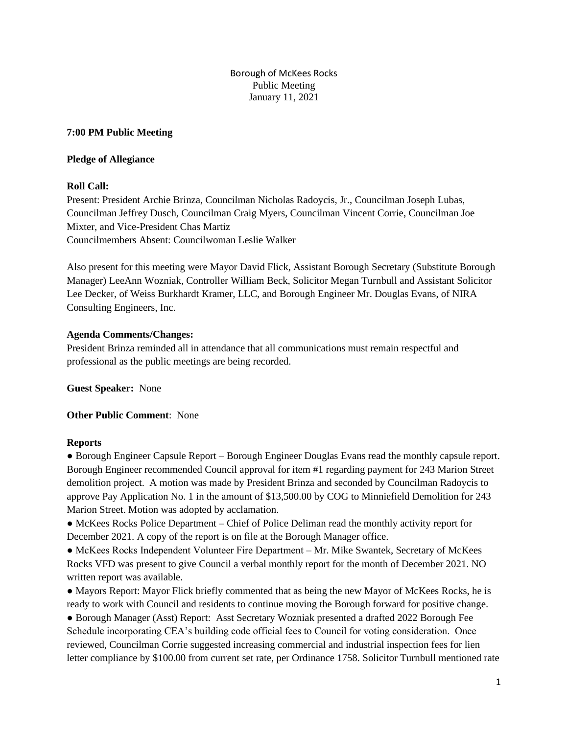Borough of McKees Rocks Public Meeting January 11, 2021

## **7:00 PM Public Meeting**

## **Pledge of Allegiance**

# **Roll Call:**

Present: President Archie Brinza, Councilman Nicholas Radoycis, Jr., Councilman Joseph Lubas, Councilman Jeffrey Dusch, Councilman Craig Myers, Councilman Vincent Corrie, Councilman Joe Mixter, and Vice-President Chas Martiz Councilmembers Absent: Councilwoman Leslie Walker

Also present for this meeting were Mayor David Flick, Assistant Borough Secretary (Substitute Borough Manager) LeeAnn Wozniak, Controller William Beck, Solicitor Megan Turnbull and Assistant Solicitor Lee Decker, of Weiss Burkhardt Kramer, LLC, and Borough Engineer Mr. Douglas Evans, of NIRA Consulting Engineers, Inc.

# **Agenda Comments/Changes:**

President Brinza reminded all in attendance that all communications must remain respectful and professional as the public meetings are being recorded.

**Guest Speaker:** None

**Other Public Comment**: None

# **Reports**

● Borough Engineer Capsule Report – Borough Engineer Douglas Evans read the monthly capsule report. Borough Engineer recommended Council approval for item #1 regarding payment for 243 Marion Street demolition project. A motion was made by President Brinza and seconded by Councilman Radoycis to approve Pay Application No. 1 in the amount of \$13,500.00 by COG to Minniefield Demolition for 243 Marion Street. Motion was adopted by acclamation.

• McKees Rocks Police Department – Chief of Police Deliman read the monthly activity report for December 2021. A copy of the report is on file at the Borough Manager office.

● McKees Rocks Independent Volunteer Fire Department – Mr. Mike Swantek, Secretary of McKees Rocks VFD was present to give Council a verbal monthly report for the month of December 2021. NO written report was available.

● Mayors Report: Mayor Flick briefly commented that as being the new Mayor of McKees Rocks, he is ready to work with Council and residents to continue moving the Borough forward for positive change.

● Borough Manager (Asst) Report: Asst Secretary Wozniak presented a drafted 2022 Borough Fee Schedule incorporating CEA's building code official fees to Council for voting consideration. Once reviewed, Councilman Corrie suggested increasing commercial and industrial inspection fees for lien letter compliance by \$100.00 from current set rate, per Ordinance 1758. Solicitor Turnbull mentioned rate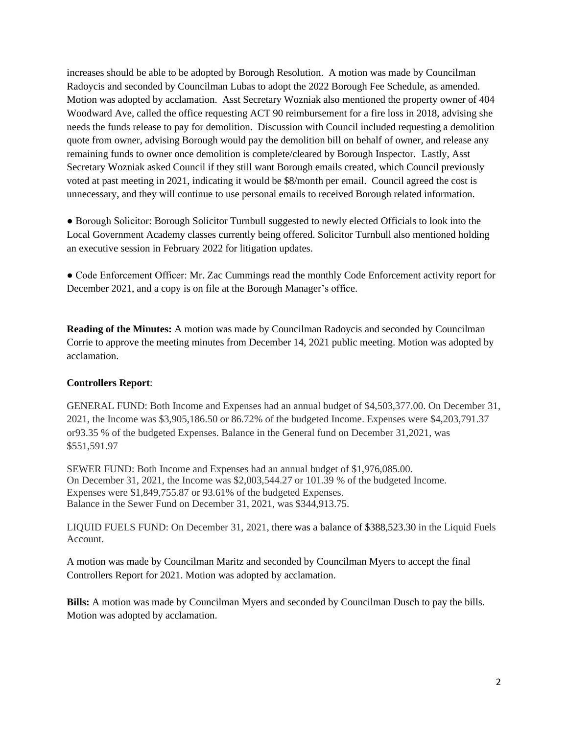increases should be able to be adopted by Borough Resolution. A motion was made by Councilman Radoycis and seconded by Councilman Lubas to adopt the 2022 Borough Fee Schedule, as amended. Motion was adopted by acclamation. Asst Secretary Wozniak also mentioned the property owner of 404 Woodward Ave, called the office requesting ACT 90 reimbursement for a fire loss in 2018, advising she needs the funds release to pay for demolition. Discussion with Council included requesting a demolition quote from owner, advising Borough would pay the demolition bill on behalf of owner, and release any remaining funds to owner once demolition is complete/cleared by Borough Inspector. Lastly, Asst Secretary Wozniak asked Council if they still want Borough emails created, which Council previously voted at past meeting in 2021, indicating it would be \$8/month per email. Council agreed the cost is unnecessary, and they will continue to use personal emails to received Borough related information.

● Borough Solicitor: Borough Solicitor Turnbull suggested to newly elected Officials to look into the Local Government Academy classes currently being offered. Solicitor Turnbull also mentioned holding an executive session in February 2022 for litigation updates.

● Code Enforcement Officer: Mr. Zac Cummings read the monthly Code Enforcement activity report for December 2021, and a copy is on file at the Borough Manager's office.

**Reading of the Minutes:** A motion was made by Councilman Radoycis and seconded by Councilman Corrie to approve the meeting minutes from December 14, 2021 public meeting. Motion was adopted by acclamation.

### **Controllers Report**:

GENERAL FUND: Both Income and Expenses had an annual budget of \$4,503,377.00. On December 31, 2021, the Income was \$3,905,186.50 or 86.72% of the budgeted Income. Expenses were \$4,203,791.37 or93.35 % of the budgeted Expenses. Balance in the General fund on December 31,2021, was \$551,591.97

SEWER FUND: Both Income and Expenses had an annual budget of \$1,976,085.00. On December 31, 2021, the Income was \$2,003,544.27 or 101.39 % of the budgeted Income. Expenses were \$1,849,755.87 or 93.61% of the budgeted Expenses. Balance in the Sewer Fund on December 31, 2021, was \$344,913.75.

LIQUID FUELS FUND: On December 31, 2021, there was a balance of \$388,523.30 in the Liquid Fuels Account.

A motion was made by Councilman Maritz and seconded by Councilman Myers to accept the final Controllers Report for 2021. Motion was adopted by acclamation.

**Bills:** A motion was made by Councilman Myers and seconded by Councilman Dusch to pay the bills. Motion was adopted by acclamation.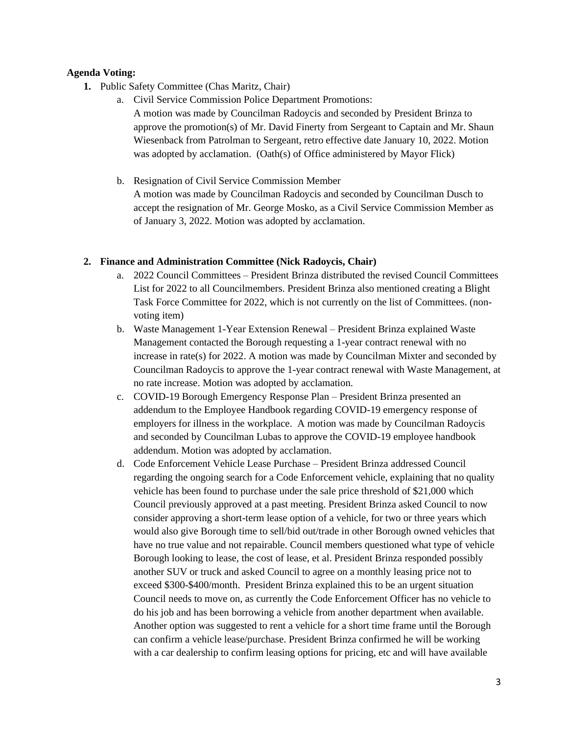### **Agenda Voting:**

- **1.** Public Safety Committee (Chas Maritz, Chair)
	- a. Civil Service Commission Police Department Promotions: A motion was made by Councilman Radoycis and seconded by President Brinza to approve the promotion(s) of Mr. David Finerty from Sergeant to Captain and Mr. Shaun Wiesenback from Patrolman to Sergeant, retro effective date January 10, 2022. Motion was adopted by acclamation. (Oath(s) of Office administered by Mayor Flick)
	- b. Resignation of Civil Service Commission Member A motion was made by Councilman Radoycis and seconded by Councilman Dusch to accept the resignation of Mr. George Mosko, as a Civil Service Commission Member as of January 3, 2022. Motion was adopted by acclamation.

#### **2. Finance and Administration Committee (Nick Radoycis, Chair)**

- a. 2022 Council Committees President Brinza distributed the revised Council Committees List for 2022 to all Councilmembers. President Brinza also mentioned creating a Blight Task Force Committee for 2022, which is not currently on the list of Committees. (nonvoting item)
- b. Waste Management 1-Year Extension Renewal President Brinza explained Waste Management contacted the Borough requesting a 1-year contract renewal with no increase in rate(s) for 2022. A motion was made by Councilman Mixter and seconded by Councilman Radoycis to approve the 1-year contract renewal with Waste Management, at no rate increase. Motion was adopted by acclamation.
- c. COVID-19 Borough Emergency Response Plan President Brinza presented an addendum to the Employee Handbook regarding COVID-19 emergency response of employers for illness in the workplace. A motion was made by Councilman Radoycis and seconded by Councilman Lubas to approve the COVID-19 employee handbook addendum. Motion was adopted by acclamation.
- d. Code Enforcement Vehicle Lease Purchase President Brinza addressed Council regarding the ongoing search for a Code Enforcement vehicle, explaining that no quality vehicle has been found to purchase under the sale price threshold of \$21,000 which Council previously approved at a past meeting. President Brinza asked Council to now consider approving a short-term lease option of a vehicle, for two or three years which would also give Borough time to sell/bid out/trade in other Borough owned vehicles that have no true value and not repairable. Council members questioned what type of vehicle Borough looking to lease, the cost of lease, et al. President Brinza responded possibly another SUV or truck and asked Council to agree on a monthly leasing price not to exceed \$300-\$400/month. President Brinza explained this to be an urgent situation Council needs to move on, as currently the Code Enforcement Officer has no vehicle to do his job and has been borrowing a vehicle from another department when available. Another option was suggested to rent a vehicle for a short time frame until the Borough can confirm a vehicle lease/purchase. President Brinza confirmed he will be working with a car dealership to confirm leasing options for pricing, etc and will have available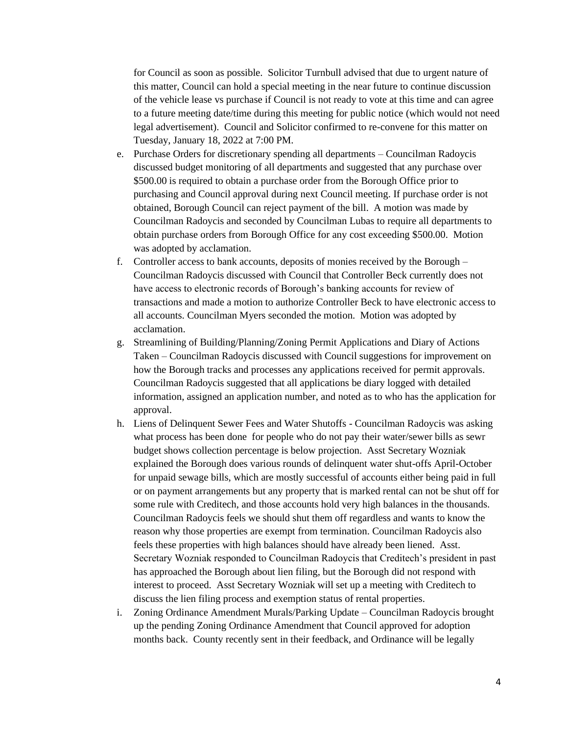for Council as soon as possible. Solicitor Turnbull advised that due to urgent nature of this matter, Council can hold a special meeting in the near future to continue discussion of the vehicle lease vs purchase if Council is not ready to vote at this time and can agree to a future meeting date/time during this meeting for public notice (which would not need legal advertisement). Council and Solicitor confirmed to re-convene for this matter on Tuesday, January 18, 2022 at 7:00 PM.

- e. Purchase Orders for discretionary spending all departments Councilman Radoycis discussed budget monitoring of all departments and suggested that any purchase over \$500.00 is required to obtain a purchase order from the Borough Office prior to purchasing and Council approval during next Council meeting. If purchase order is not obtained, Borough Council can reject payment of the bill. A motion was made by Councilman Radoycis and seconded by Councilman Lubas to require all departments to obtain purchase orders from Borough Office for any cost exceeding \$500.00. Motion was adopted by acclamation.
- f. Controller access to bank accounts, deposits of monies received by the Borough Councilman Radoycis discussed with Council that Controller Beck currently does not have access to electronic records of Borough's banking accounts for review of transactions and made a motion to authorize Controller Beck to have electronic access to all accounts. Councilman Myers seconded the motion. Motion was adopted by acclamation.
- g. Streamlining of Building/Planning/Zoning Permit Applications and Diary of Actions Taken – Councilman Radoycis discussed with Council suggestions for improvement on how the Borough tracks and processes any applications received for permit approvals. Councilman Radoycis suggested that all applications be diary logged with detailed information, assigned an application number, and noted as to who has the application for approval.
- h. Liens of Delinquent Sewer Fees and Water Shutoffs Councilman Radoycis was asking what process has been done for people who do not pay their water/sewer bills as sewr budget shows collection percentage is below projection. Asst Secretary Wozniak explained the Borough does various rounds of delinquent water shut-offs April-October for unpaid sewage bills, which are mostly successful of accounts either being paid in full or on payment arrangements but any property that is marked rental can not be shut off for some rule with Creditech, and those accounts hold very high balances in the thousands. Councilman Radoycis feels we should shut them off regardless and wants to know the reason why those properties are exempt from termination. Councilman Radoycis also feels these properties with high balances should have already been liened. Asst. Secretary Wozniak responded to Councilman Radoycis that Creditech's president in past has approached the Borough about lien filing, but the Borough did not respond with interest to proceed. Asst Secretary Wozniak will set up a meeting with Creditech to discuss the lien filing process and exemption status of rental properties.
- i. Zoning Ordinance Amendment Murals/Parking Update Councilman Radoycis brought up the pending Zoning Ordinance Amendment that Council approved for adoption months back. County recently sent in their feedback, and Ordinance will be legally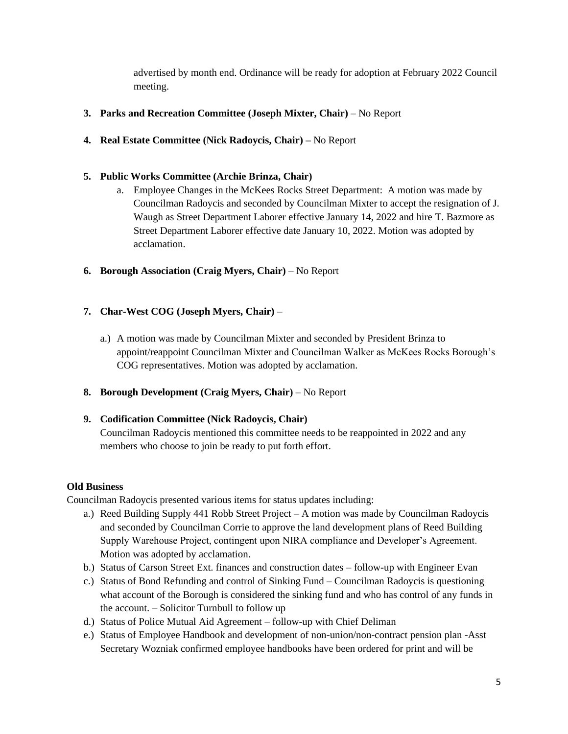advertised by month end. Ordinance will be ready for adoption at February 2022 Council meeting.

# **3. Parks and Recreation Committee (Joseph Mixter, Chair)** – No Report

**4. Real Estate Committee (Nick Radoycis, Chair) –** No Report

## **5. Public Works Committee (Archie Brinza, Chair)**

- a. Employee Changes in the McKees Rocks Street Department: A motion was made by Councilman Radoycis and seconded by Councilman Mixter to accept the resignation of J. Waugh as Street Department Laborer effective January 14, 2022 and hire T. Bazmore as Street Department Laborer effective date January 10, 2022. Motion was adopted by acclamation.
- **6. Borough Association (Craig Myers, Chair)** No Report

## **7. Char-West COG (Joseph Myers, Chair)** –

- a.) A motion was made by Councilman Mixter and seconded by President Brinza to appoint/reappoint Councilman Mixter and Councilman Walker as McKees Rocks Borough's COG representatives. Motion was adopted by acclamation.
- **8. Borough Development (Craig Myers, Chair)** No Report

### **9. Codification Committee (Nick Radoycis, Chair)**

Councilman Radoycis mentioned this committee needs to be reappointed in 2022 and any members who choose to join be ready to put forth effort.

### **Old Business**

Councilman Radoycis presented various items for status updates including:

- a.) Reed Building Supply 441 Robb Street Project A motion was made by Councilman Radoycis and seconded by Councilman Corrie to approve the land development plans of Reed Building Supply Warehouse Project, contingent upon NIRA compliance and Developer's Agreement. Motion was adopted by acclamation.
- b.) Status of Carson Street Ext. finances and construction dates follow-up with Engineer Evan
- c.) Status of Bond Refunding and control of Sinking Fund Councilman Radoycis is questioning what account of the Borough is considered the sinking fund and who has control of any funds in the account. – Solicitor Turnbull to follow up
- d.) Status of Police Mutual Aid Agreement follow-up with Chief Deliman
- e.) Status of Employee Handbook and development of non-union/non-contract pension plan -Asst Secretary Wozniak confirmed employee handbooks have been ordered for print and will be